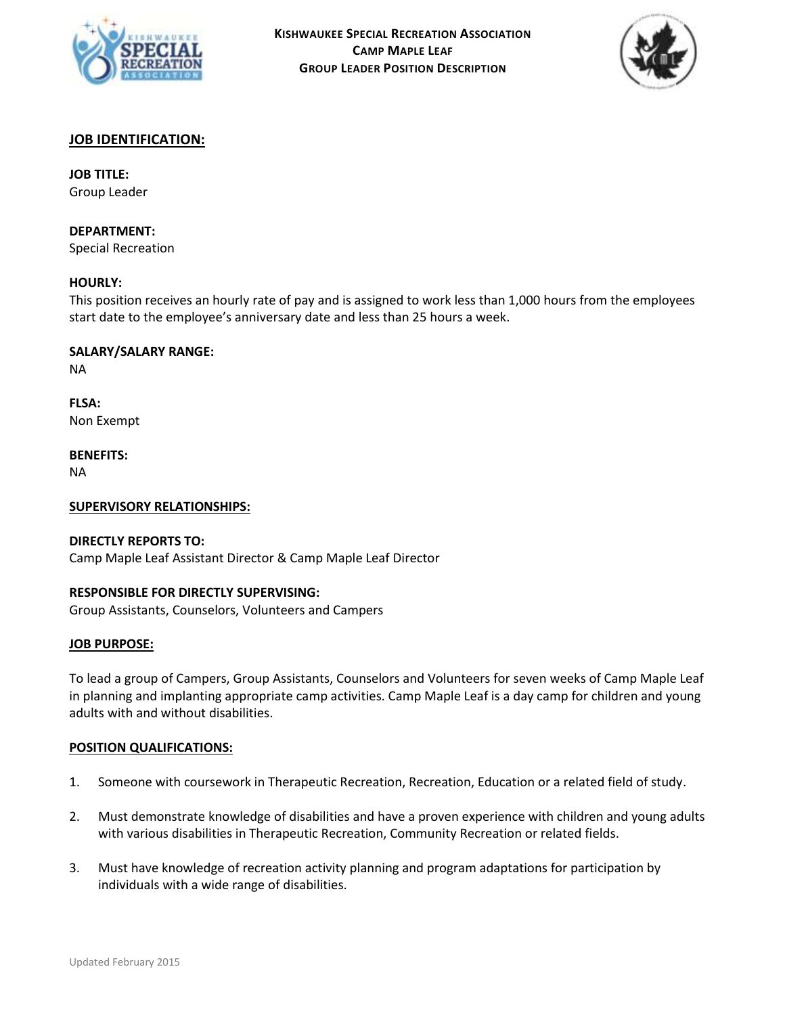



## **JOB IDENTIFICATION:**

## **JOB TITLE:**

Group Leader

### **DEPARTMENT:**

Special Recreation

## **HOURLY:**

This position receives an hourly rate of pay and is assigned to work less than 1,000 hours from the employees start date to the employee's anniversary date and less than 25 hours a week.

### **SALARY/SALARY RANGE:**

NA

**FLSA:** Non Exempt

**BENEFITS:**

NA

#### **SUPERVISORY RELATIONSHIPS:**

## **DIRECTLY REPORTS TO:**

Camp Maple Leaf Assistant Director & Camp Maple Leaf Director

## **RESPONSIBLE FOR DIRECTLY SUPERVISING:**

Group Assistants, Counselors, Volunteers and Campers

#### **JOB PURPOSE:**

To lead a group of Campers, Group Assistants, Counselors and Volunteers for seven weeks of Camp Maple Leaf in planning and implanting appropriate camp activities. Camp Maple Leaf is a day camp for children and young adults with and without disabilities.

#### **POSITION QUALIFICATIONS:**

- 1. Someone with coursework in Therapeutic Recreation, Recreation, Education or a related field of study.
- 2. Must demonstrate knowledge of disabilities and have a proven experience with children and young adults with various disabilities in Therapeutic Recreation, Community Recreation or related fields.
- 3. Must have knowledge of recreation activity planning and program adaptations for participation by individuals with a wide range of disabilities.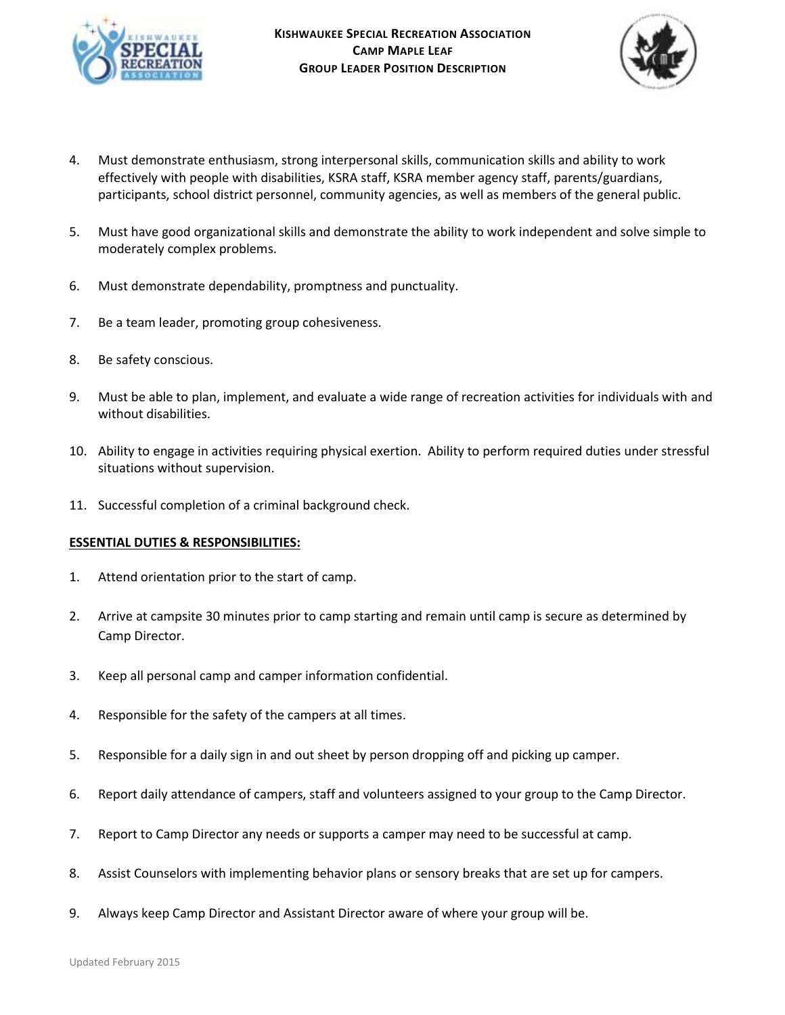



- 4. Must demonstrate enthusiasm, strong interpersonal skills, communication skills and ability to work effectively with people with disabilities, KSRA staff, KSRA member agency staff, parents/guardians, participants, school district personnel, community agencies, as well as members of the general public.
- 5. Must have good organizational skills and demonstrate the ability to work independent and solve simple to moderately complex problems.
- 6. Must demonstrate dependability, promptness and punctuality.
- 7. Be a team leader, promoting group cohesiveness.
- 8. Be safety conscious.
- 9. Must be able to plan, implement, and evaluate a wide range of recreation activities for individuals with and without disabilities.
- 10. Ability to engage in activities requiring physical exertion. Ability to perform required duties under stressful situations without supervision.
- 11. Successful completion of a criminal background check.

## **ESSENTIAL DUTIES & RESPONSIBILITIES:**

- 1. Attend orientation prior to the start of camp.
- 2. Arrive at campsite 30 minutes prior to camp starting and remain until camp is secure as determined by Camp Director.
- 3. Keep all personal camp and camper information confidential.
- 4. Responsible for the safety of the campers at all times.
- 5. Responsible for a daily sign in and out sheet by person dropping off and picking up camper.
- 6. Report daily attendance of campers, staff and volunteers assigned to your group to the Camp Director.
- 7. Report to Camp Director any needs or supports a camper may need to be successful at camp.
- 8. Assist Counselors with implementing behavior plans or sensory breaks that are set up for campers.
- 9. Always keep Camp Director and Assistant Director aware of where your group will be.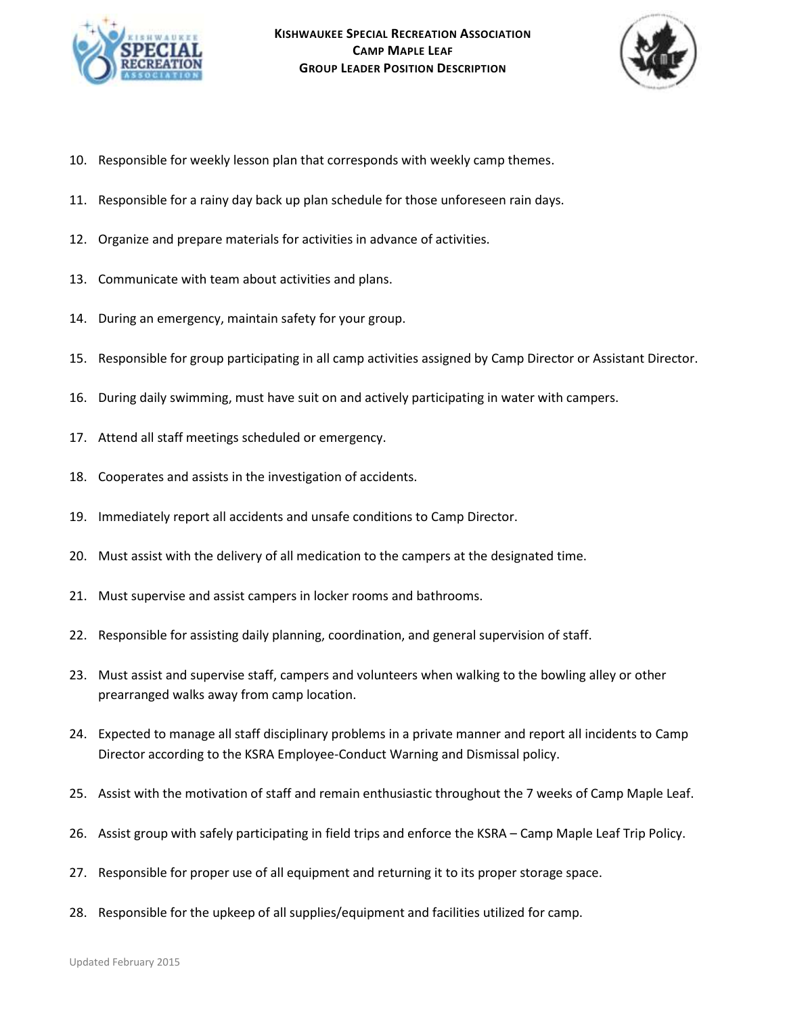



- 10. Responsible for weekly lesson plan that corresponds with weekly camp themes.
- 11. Responsible for a rainy day back up plan schedule for those unforeseen rain days.
- 12. Organize and prepare materials for activities in advance of activities.
- 13. Communicate with team about activities and plans.
- 14. During an emergency, maintain safety for your group.
- 15. Responsible for group participating in all camp activities assigned by Camp Director or Assistant Director.
- 16. During daily swimming, must have suit on and actively participating in water with campers.
- 17. Attend all staff meetings scheduled or emergency.
- 18. Cooperates and assists in the investigation of accidents.
- 19. Immediately report all accidents and unsafe conditions to Camp Director.
- 20. Must assist with the delivery of all medication to the campers at the designated time.
- 21. Must supervise and assist campers in locker rooms and bathrooms.
- 22. Responsible for assisting daily planning, coordination, and general supervision of staff.
- 23. Must assist and supervise staff, campers and volunteers when walking to the bowling alley or other prearranged walks away from camp location.
- 24. Expected to manage all staff disciplinary problems in a private manner and report all incidents to Camp Director according to the KSRA Employee-Conduct Warning and Dismissal policy.
- 25. Assist with the motivation of staff and remain enthusiastic throughout the 7 weeks of Camp Maple Leaf.
- 26. Assist group with safely participating in field trips and enforce the KSRA Camp Maple Leaf Trip Policy.
- 27. Responsible for proper use of all equipment and returning it to its proper storage space.
- 28. Responsible for the upkeep of all supplies/equipment and facilities utilized for camp.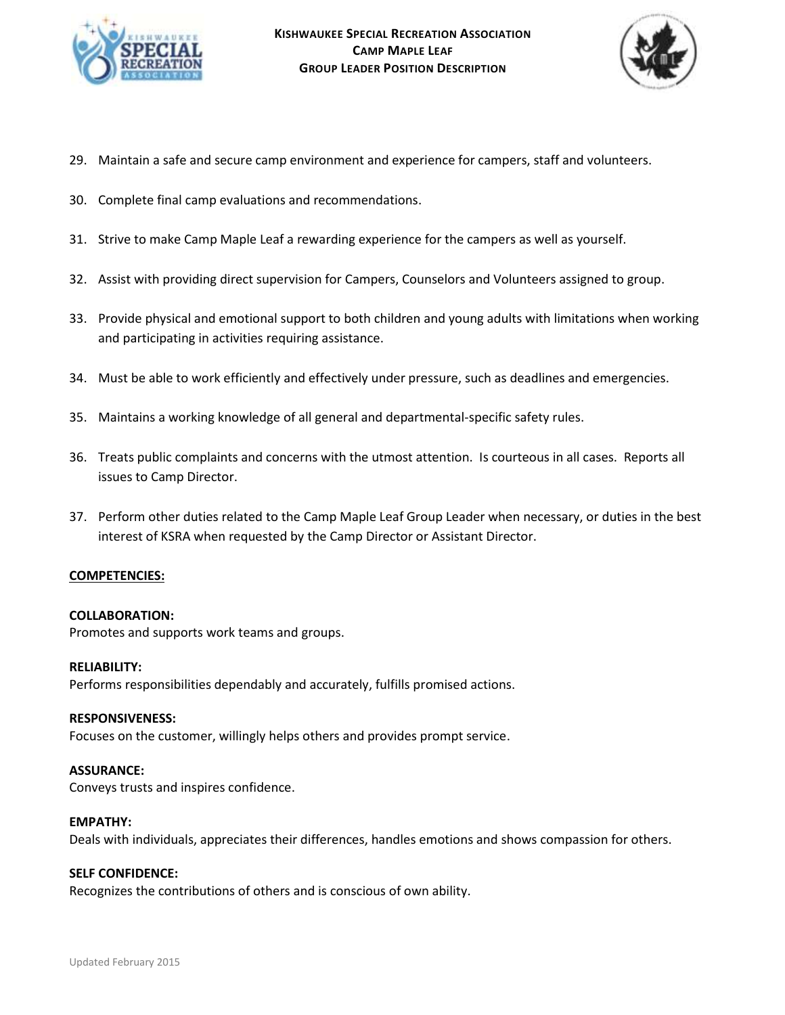



- 29. Maintain a safe and secure camp environment and experience for campers, staff and volunteers.
- 30. Complete final camp evaluations and recommendations.
- 31. Strive to make Camp Maple Leaf a rewarding experience for the campers as well as yourself.
- 32. Assist with providing direct supervision for Campers, Counselors and Volunteers assigned to group.
- 33. Provide physical and emotional support to both children and young adults with limitations when working and participating in activities requiring assistance.
- 34. Must be able to work efficiently and effectively under pressure, such as deadlines and emergencies.
- 35. Maintains a working knowledge of all general and departmental-specific safety rules.
- 36. Treats public complaints and concerns with the utmost attention. Is courteous in all cases. Reports all issues to Camp Director.
- 37. Perform other duties related to the Camp Maple Leaf Group Leader when necessary, or duties in the best interest of KSRA when requested by the Camp Director or Assistant Director.

#### **COMPETENCIES:**

#### **COLLABORATION:**

Promotes and supports work teams and groups.

#### **RELIABILITY:**

Performs responsibilities dependably and accurately, fulfills promised actions.

#### **RESPONSIVENESS:**

Focuses on the customer, willingly helps others and provides prompt service.

#### **ASSURANCE:**

Conveys trusts and inspires confidence.

#### **EMPATHY:**

Deals with individuals, appreciates their differences, handles emotions and shows compassion for others.

# **SELF CONFIDENCE:**

Recognizes the contributions of others and is conscious of own ability.